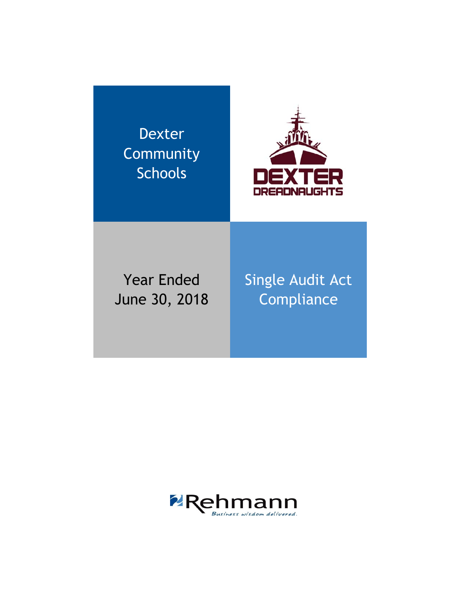Dexter **Community Schools** 



# Year Ended June 30, 2018

Single Audit Act Compliance

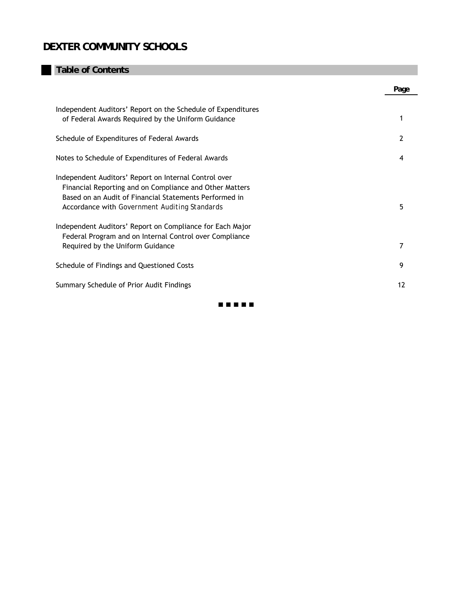# **Table of Contents**

|                                                                                                                                                                                                                                                                                                 | Page |
|-------------------------------------------------------------------------------------------------------------------------------------------------------------------------------------------------------------------------------------------------------------------------------------------------|------|
| Independent Auditors' Report on the Schedule of Expenditures<br>of Federal Awards Required by the Uniform Guidance                                                                                                                                                                              |      |
| Schedule of Expenditures of Federal Awards                                                                                                                                                                                                                                                      | 2    |
| Notes to Schedule of Expenditures of Federal Awards                                                                                                                                                                                                                                             |      |
| Independent Auditors' Report on Internal Control over<br>Financial Reporting and on Compliance and Other Matters<br>Based on an Audit of Financial Statements Performed in<br>Accordance with <i>Government Auditing Standards</i><br>Independent Auditors' Report on Compliance for Each Major | 5    |
| Federal Program and on Internal Control over Compliance<br>Required by the Uniform Guidance                                                                                                                                                                                                     |      |
| Schedule of Findings and Questioned Costs                                                                                                                                                                                                                                                       | 9    |
| Summary Schedule of Prior Audit Findings                                                                                                                                                                                                                                                        | 12   |

. . . . .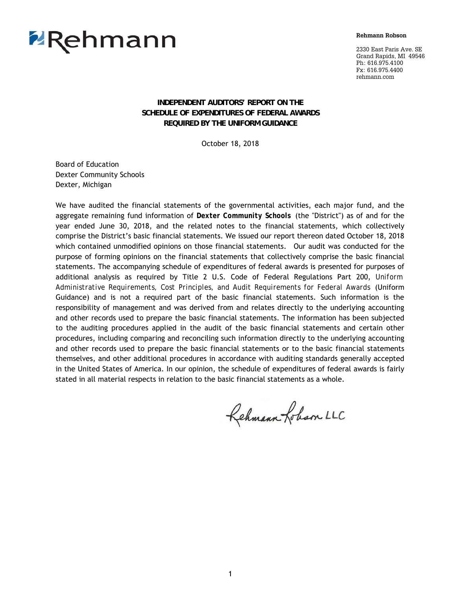

**Rehmann Robson**

2330 East Paris Ave. SE Grand Rapids, MI 49546 Ph: 616.975.4100 Fx: 616.975.4400 rehmann.com

### **INDEPENDENT AUDITORS' REPORT ON THE SCHEDULE OF EXPENDITURES OF FEDERAL AWARDS REQUIRED BY THE UNIFORM GUIDANCE**

October 18, 2018

Board of Education Dexter Community Schools Dexter, Michigan

We have audited the financial statements of the governmental activities, each major fund, and the aggregate remaining fund information of *Dexter Community Schools* (the "District") as of and for the year ended June 30, 2018, and the related notes to the financial statements, which collectively comprise the District's basic financial statements. We issued our report thereon dated October 18, 2018 which contained unmodified opinions on those financial statements. Our audit was conducted for the purpose of forming opinions on the financial statements that collectively comprise the basic financial statements. The accompanying schedule of expenditures of federal awards is presented for purposes of additional analysis as required by Title 2 U.S. Code of Federal Regulations Part 200, *Uniform Administrative Requirements, Cost Principles, and Audit Requirements for Federal Awards* (Uniform Guidance) and is not a required part of the basic financial statements. Such information is the responsibility of management and was derived from and relates directly to the underlying accounting and other records used to prepare the basic financial statements. The information has been subjected to the auditing procedures applied in the audit of the basic financial statements and certain other procedures, including comparing and reconciling such information directly to the underlying accounting and other records used to prepare the basic financial statements or to the basic financial statements themselves, and other additional procedures in accordance with auditing standards generally accepted in the United States of America. In our opinion, the schedule of expenditures of federal awards is fairly stated in all material respects in relation to the basic financial statements as a whole.

Rehmann Lobson LLC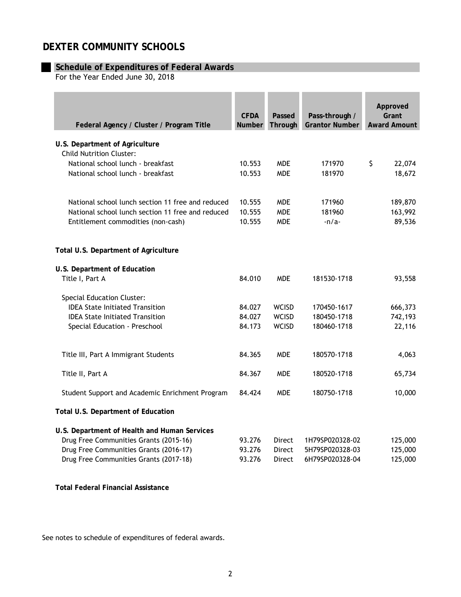### **Schedule of Expenditures of Federal Awards**

For the Year Ended June 30, 2018

| Federal Agency / Cluster / Program Title                                                                                                                                   | <b>CFDA</b><br><b>Number</b> | Passed<br>Through                        | Pass-through /<br><b>Grantor Number</b>               | Approved<br>Grant<br><b>Award Amount</b> |
|----------------------------------------------------------------------------------------------------------------------------------------------------------------------------|------------------------------|------------------------------------------|-------------------------------------------------------|------------------------------------------|
| U.S. Department of Agriculture<br><b>Child Nutrition Cluster:</b>                                                                                                          |                              |                                          |                                                       |                                          |
| National school lunch - breakfast                                                                                                                                          | 10.553                       | <b>MDE</b>                               | 171970                                                | \$<br>22,074                             |
| National school lunch - breakfast                                                                                                                                          | 10.553                       | <b>MDE</b>                               | 181970                                                | 18,672                                   |
|                                                                                                                                                                            |                              |                                          |                                                       |                                          |
| National school lunch section 11 free and reduced                                                                                                                          | 10.555                       | <b>MDE</b>                               | 171960                                                | 189,870                                  |
| National school lunch section 11 free and reduced                                                                                                                          | 10.555                       | <b>MDE</b>                               | 181960                                                | 163,992                                  |
| Entitlement commodities (non-cash)                                                                                                                                         | 10.555                       | <b>MDE</b>                               | $-n/a-$                                               | 89,536                                   |
| Total U.S. Department of Agriculture                                                                                                                                       |                              |                                          |                                                       |                                          |
| U.S. Department of Education                                                                                                                                               |                              |                                          |                                                       |                                          |
| Title I, Part A                                                                                                                                                            | 84.010                       | <b>MDE</b>                               | 181530-1718                                           | 93,558                                   |
| <b>Special Education Cluster:</b>                                                                                                                                          |                              |                                          |                                                       |                                          |
| <b>IDEA State Initiated Transition</b>                                                                                                                                     | 84.027                       | <b>WCISD</b>                             | 170450-1617                                           | 666,373                                  |
| <b>IDEA State Initiated Transition</b>                                                                                                                                     | 84.027                       | <b>WCISD</b>                             | 180450-1718                                           | 742,193                                  |
| Special Education - Preschool                                                                                                                                              | 84.173                       | <b>WCISD</b>                             | 180460-1718                                           | 22,116                                   |
| Title III, Part A Immigrant Students                                                                                                                                       | 84.365                       | <b>MDE</b>                               | 180570-1718                                           | 4,063                                    |
| Title II, Part A                                                                                                                                                           | 84.367                       | <b>MDE</b>                               | 180520-1718                                           | 65,734                                   |
| Student Support and Academic Enrichment Program                                                                                                                            | 84.424                       | <b>MDE</b>                               | 180750-1718                                           | 10,000                                   |
| Total U.S. Department of Education                                                                                                                                         |                              |                                          |                                                       |                                          |
| U.S. Department of Health and Human Services<br>Drug Free Communities Grants (2015-16)<br>Drug Free Communities Grants (2016-17)<br>Drug Free Communities Grants (2017-18) | 93.276<br>93.276<br>93.276   | Direct<br><b>Direct</b><br><b>Direct</b> | 1H79SP020328-02<br>5H79SP020328-03<br>6H79SP020328-04 | 125,000<br>125,000<br>125,000            |

**Total Federal Financial Assistance**

See notes to schedule of expenditures of federal awards.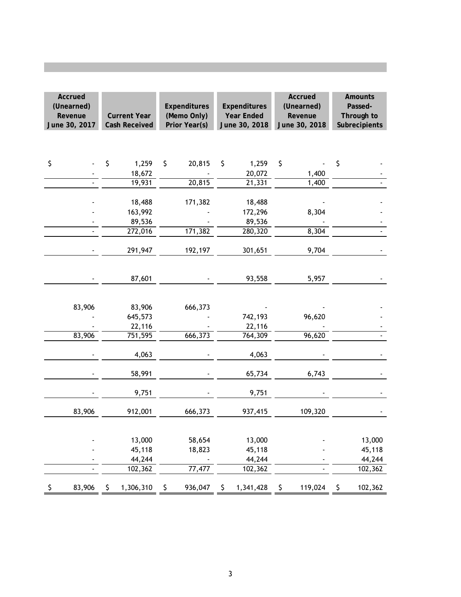| Accrued<br>(Unearned)<br>Revenue<br>June 30, 2017 | <b>Current Year</b><br><b>Cash Received</b> | Expenditures<br>(Memo Only)<br>Prior Year(s) | Expenditures<br>Year Ended<br>June 30, 2018 | Accrued<br>(Unearned)<br>Revenue<br>June 30, 2018 | <b>Amounts</b><br>Passed-<br>Through to<br>Subrecipients |
|---------------------------------------------------|---------------------------------------------|----------------------------------------------|---------------------------------------------|---------------------------------------------------|----------------------------------------------------------|
| \$                                                | \$<br>1,259                                 | \$<br>20,815                                 | \$<br>1,259                                 | \$                                                | \$                                                       |
|                                                   | 18,672                                      |                                              | 20,072                                      | 1,400                                             |                                                          |
|                                                   | 19,931                                      | 20,815                                       | 21,331                                      | 1,400                                             |                                                          |
|                                                   |                                             |                                              |                                             |                                                   |                                                          |
|                                                   | 18,488                                      | 171,382                                      | 18,488                                      |                                                   |                                                          |
|                                                   | 163,992                                     |                                              | 172,296                                     | 8,304                                             |                                                          |
|                                                   | 89,536                                      |                                              | 89,536                                      |                                                   |                                                          |
|                                                   | 272,016                                     | 171,382                                      | 280,320                                     | 8,304                                             |                                                          |
|                                                   | 291,947                                     | 192,197                                      | 301,651                                     | 9,704                                             |                                                          |
|                                                   |                                             |                                              |                                             |                                                   |                                                          |
|                                                   | 87,601                                      |                                              | 93,558                                      | 5,957                                             |                                                          |
|                                                   |                                             |                                              |                                             |                                                   |                                                          |
| 83,906                                            | 83,906                                      | 666,373                                      |                                             |                                                   |                                                          |
|                                                   | 645,573                                     |                                              | 742,193                                     | 96,620                                            |                                                          |
|                                                   | 22,116                                      |                                              | 22,116                                      |                                                   |                                                          |
| 83,906                                            | 751,595                                     | 666,373                                      | 764,309                                     | 96,620                                            |                                                          |
|                                                   | 4,063                                       |                                              | 4,063                                       |                                                   |                                                          |
|                                                   | 58,991                                      |                                              | 65,734                                      | 6,743                                             |                                                          |
|                                                   | 9,751                                       |                                              | 9,751                                       |                                                   |                                                          |
| 83,906                                            | 912,001                                     | 666,373                                      | 937,415                                     | 109,320                                           |                                                          |
|                                                   |                                             |                                              |                                             |                                                   |                                                          |
|                                                   | 13,000                                      | 58,654                                       | 13,000                                      |                                                   | 13,000                                                   |
|                                                   | 45,118                                      | 18,823                                       | 45,118                                      |                                                   | 45,118                                                   |
|                                                   | 44,244                                      |                                              | 44,244                                      |                                                   | 44,244                                                   |
|                                                   | 102,362                                     | 77,477                                       | 102,362                                     |                                                   | 102,362                                                  |
| 83,906                                            | 1,306,310<br>Ş                              | \$<br>936,047                                | 1,341,428<br>S                              | \$<br>119,024                                     | 102,362<br>\$                                            |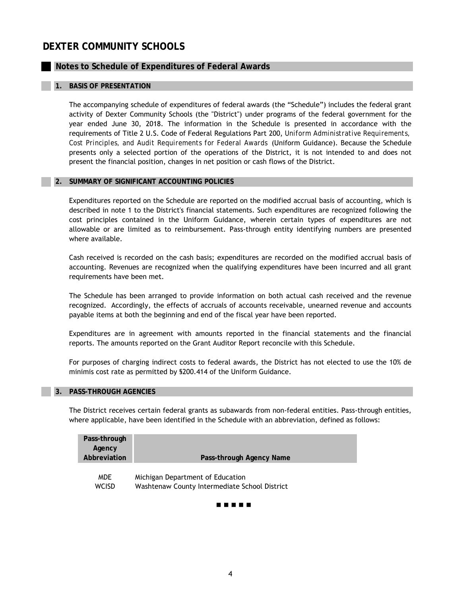### **Notes to Schedule of Expenditures of Federal Awards**

#### **1. BASIS OF PRESENTATION**

The accompanying schedule of expenditures of federal awards (the "Schedule") includes the federal grant activity of Dexter Community Schools (the "District") under programs of the federal government for the year ended June 30, 2018. The information in the Schedule is presented in accordance with the requirements of Title 2 U.S. Code of Federal Regulations Part 200, *Uniform Administrative Requirements, Cost Principles, and Audit Requirements for Federal Awards* (Uniform Guidance). Because the Schedule presents only a selected portion of the operations of the District, it is not intended to and does not present the financial position, changes in net position or cash flows of the District.

#### **2. SUMMARY OF SIGNIFICANT ACCOUNTING POLICIES**

Expenditures reported on the Schedule are reported on the modified accrual basis of accounting, which is described in note 1 to the District's financial statements. Such expenditures are recognized following the cost principles contained in the Uniform Guidance, wherein certain types of expenditures are not allowable or are limited as to reimbursement. Pass-through entity identifying numbers are presented where available.

Cash received is recorded on the cash basis; expenditures are recorded on the modified accrual basis of accounting. Revenues are recognized when the qualifying expenditures have been incurred and all grant requirements have been met.

The Schedule has been arranged to provide information on both actual cash received and the revenue recognized. Accordingly, the effects of accruals of accounts receivable, unearned revenue and accounts payable items at both the beginning and end of the fiscal year have been reported.

Expenditures are in agreement with amounts reported in the financial statements and the financial reports. The amounts reported on the Grant Auditor Report reconcile with this Schedule.

For purposes of charging indirect costs to federal awards, the District has not elected to use the 10% de minimis cost rate as permitted by §200.414 of the Uniform Guidance.

#### **3. PASS-THROUGH AGENCIES**

The District receives certain federal grants as subawards from non-federal entities. Pass-through entities, where applicable, have been identified in the Schedule with an abbreviation, defined as follows:

| Pass-through<br>Agency<br>Abbreviation | Pass-through Agency Name                      |
|----------------------------------------|-----------------------------------------------|
| <b>MDE</b>                             | Michigan Department of Education              |
| <b>WCISD</b>                           | Washtenaw County Intermediate School District |

. . . . .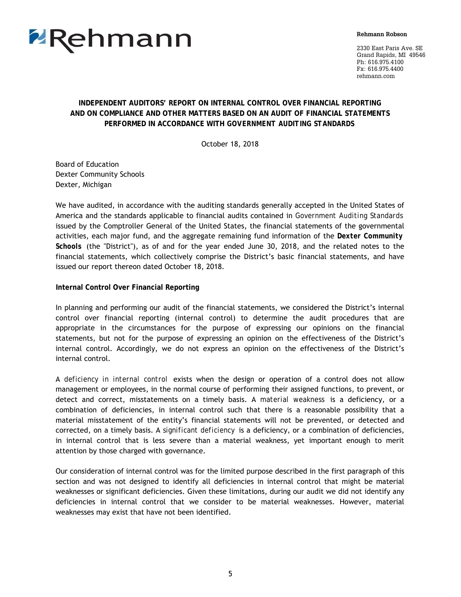

**Rehmann Robson**

2330 East Paris Ave. SE Grand Rapids, MI 49546 Ph: 616.975.4100 Fx: 616.975.4400 rehmann.com

### **INDEPENDENT AUDITORS' REPORT ON INTERNAL CONTROL OVER FINANCIAL REPORTING AND ON COMPLIANCE AND OTHER MATTERS BASED ON AN AUDIT OF FINANCIAL STATEMENTS PERFORMED IN ACCORDANCE WITH** *GOVERNMENT AUDITING STANDARDS*

October 18, 2018

Board of Education Dexter Community Schools Dexter, Michigan

We have audited, in accordance with the auditing standards generally accepted in the United States of America and the standards applicable to financial audits contained in *Government Auditing Standards* issued by the Comptroller General of the United States, the financial statements of the governmental activities, each major fund, and the aggregate remaining fund information of the *Dexter Community Schools* (the "District"), as of and for the year ended June 30, 2018, and the related notes to the financial statements, which collectively comprise the District's basic financial statements, and have issued our report thereon dated October 18, 2018.

**Internal Control Over Financial Reporting**

In planning and performing our audit of the financial statements, we considered the District's internal control over financial reporting (internal control) to determine the audit procedures that are appropriate in the circumstances for the purpose of expressing our opinions on the financial statements, but not for the purpose of expressing an opinion on the effectiveness of the District's internal control. Accordingly, we do not express an opinion on the effectiveness of the District's internal control.

A *deficiency in internal control* exists when the design or operation of a control does not allow management or employees, in the normal course of performing their assigned functions, to prevent, or detect and correct, misstatements on a timely basis. A *material weakness* is a deficiency, or a combination of deficiencies, in internal control such that there is a reasonable possibility that a material misstatement of the entity's financial statements will not be prevented, or detected and corrected, on a timely basis. A *significant deficiency* is a deficiency, or a combination of deficiencies, in internal control that is less severe than a material weakness, yet important enough to merit attention by those charged with governance.

Our consideration of internal control was for the limited purpose described in the first paragraph of this section and was not designed to identify all deficiencies in internal control that might be material weaknesses or significant deficiencies. Given these limitations, during our audit we did not identify any deficiencies in internal control that we consider to be material weaknesses. However, material weaknesses may exist that have not been identified.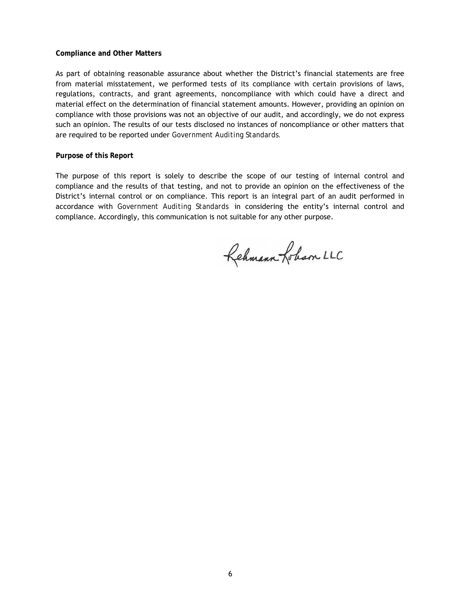#### **Compliance and Other Matters**

As part of obtaining reasonable assurance about whether the District's financial statements are free from material misstatement, we performed tests of its compliance with certain provisions of laws, regulations, contracts, and grant agreements, noncompliance with which could have a direct and material effect on the determination of financial statement amounts. However, providing an opinion on compliance with those provisions was not an objective of our audit, and accordingly, we do not express such an opinion. The results of our tests disclosed no instances of noncompliance or other matters that are required to be reported under *Government Auditing Standards.*

#### **Purpose of this Report**

The purpose of this report is solely to describe the scope of our testing of internal control and compliance and the results of that testing, and not to provide an opinion on the effectiveness of the District's internal control or on compliance. This report is an integral part of an audit performed in accordance with *Government Auditing Standards* in considering the entity's internal control and compliance. Accordingly, this communication is not suitable for any other purpose.

Rehmann Lobam LLC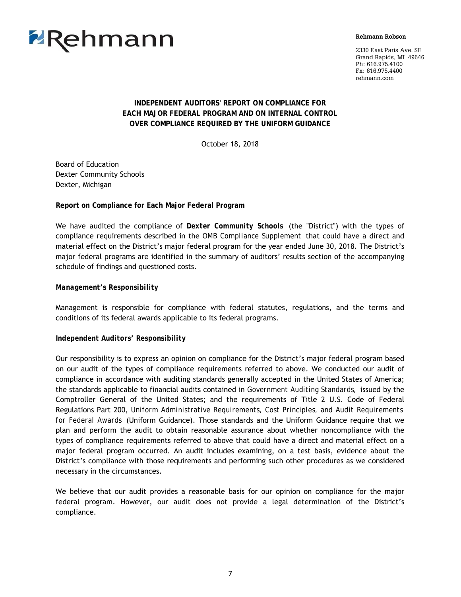

**Rehmann Robson**

2330 East Paris Ave. SE Grand Rapids, MI 49546 Ph: 616.975.4100 Fx: 616.975.4400 rehmann.com

### **INDEPENDENT AUDITORS' REPORT ON COMPLIANCE FOR EACH MAJOR FEDERAL PROGRAM AND ON INTERNAL CONTROL OVER COMPLIANCE REQUIRED BY THE UNIFORM GUIDANCE**

October 18, 2018

Board of Education Dexter Community Schools Dexter, Michigan

**Report on Compliance for Each Major Federal Program**

We have audited the compliance of *Dexter Community Schools* (the "District") with the types of compliance requirements described in the *OMB Compliance Supplement* that could have a direct and material effect on the District's major federal program for the year ended June 30, 2018. The District's major federal programs are identified in the summary of auditors' results section of the accompanying schedule of findings and questioned costs.

#### *Management's Responsibility*

Management is responsible for compliance with federal statutes, regulations, and the terms and conditions of its federal awards applicable to its federal programs.

#### *Independent Auditors' Responsibility*

Our responsibility is to express an opinion on compliance for the District's major federal program based on our audit of the types of compliance requirements referred to above. We conducted our audit of compliance in accordance with auditing standards generally accepted in the United States of America; the standards applicable to financial audits contained in *Government Auditing Standards,* issued by the Comptroller General of the United States; and the requirements of Title 2 U.S. Code of Federal Regulations Part 200, *Uniform Administrative Requirements, Cost Principles, and Audit Requirements for Federal Awards* (Uniform Guidance). Those standards and the Uniform Guidance require that we plan and perform the audit to obtain reasonable assurance about whether noncompliance with the types of compliance requirements referred to above that could have a direct and material effect on a major federal program occurred. An audit includes examining, on a test basis, evidence about the District's compliance with those requirements and performing such other procedures as we considered necessary in the circumstances.

We believe that our audit provides a reasonable basis for our opinion on compliance for the major federal program. However, our audit does not provide a legal determination of the District's compliance.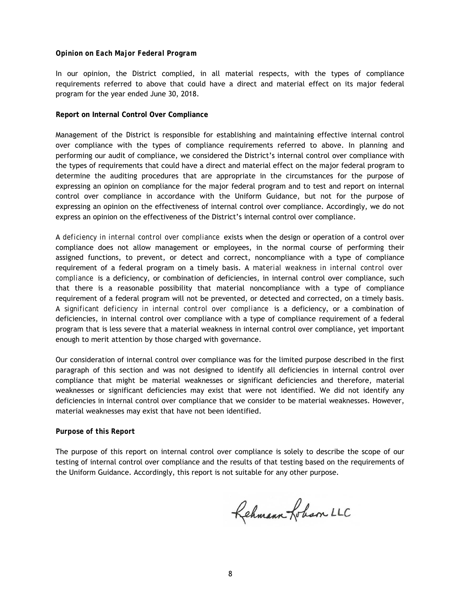#### *Opinion on Each Major Federal Program*

In our opinion, the District complied, in all material respects, with the types of compliance requirements referred to above that could have a direct and material effect on its major federal program for the year ended June 30, 2018.

#### **Report on Internal Control Over Compliance**

Management of the District is responsible for establishing and maintaining effective internal control over compliance with the types of compliance requirements referred to above. In planning and performing our audit of compliance, we considered the District's internal control over compliance with the types of requirements that could have a direct and material effect on the major federal program to determine the auditing procedures that are appropriate in the circumstances for the purpose of expressing an opinion on compliance for the major federal program and to test and report on internal control over compliance in accordance with the Uniform Guidance, but not for the purpose of expressing an opinion on the effectiveness of internal control over compliance. Accordingly, we do not express an opinion on the effectiveness of the District's internal control over compliance.

A *deficiency in internal control over compliance* exists when the design or operation of a control over compliance does not allow management or employees, in the normal course of performing their assigned functions, to prevent, or detect and correct, noncompliance with a type of compliance requirement of a federal program on a timely basis. A *material weakness in internal control over compliance* is a deficiency, or combination of deficiencies, in internal control over compliance, such that there is a reasonable possibility that material noncompliance with a type of compliance requirement of a federal program will not be prevented, or detected and corrected, on a timely basis. A *significant deficiency in internal control over compliance* is a deficiency, or a combination of deficiencies, in internal control over compliance with a type of compliance requirement of a federal program that is less severe that a material weakness in internal control over compliance, yet important enough to merit attention by those charged with governance.

Our consideration of internal control over compliance was for the limited purpose described in the first paragraph of this section and was not designed to identify all deficiencies in internal control over compliance that might be material weaknesses or significant deficiencies and therefore, material weaknesses or significant deficiencies may exist that were not identified. We did not identify any deficiencies in internal control over compliance that we consider to be material weaknesses. However, material weaknesses may exist that have not been identified.

#### *Purpose of this Report*

The purpose of this report on internal control over compliance is solely to describe the scope of our testing of internal control over compliance and the results of that testing based on the requirements of the Uniform Guidance. Accordingly, this report is not suitable for any other purpose.

Rehmann Lobam LLC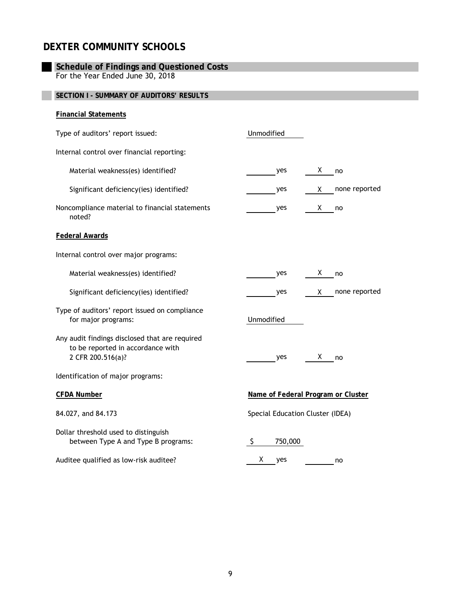#### **Schedule of Findings and Questioned Costs** For the Year Ended June 30, 2018

### **SECTION I - SUMMARY OF AUDITORS' RESULTS**

#### **Financial Statements**

| Type of auditors' report issued:                                                                         | Unmodified                         |
|----------------------------------------------------------------------------------------------------------|------------------------------------|
| Internal control over financial reporting:                                                               |                                    |
| Material weakness(es) identified?                                                                        | X<br>yes<br>no                     |
| Significant deficiency(ies) identified?                                                                  | none reported<br>yes<br>X          |
| Noncompliance material to financial statements<br>noted?                                                 | Χ<br>yes<br>no                     |
| <b>Federal Awards</b>                                                                                    |                                    |
| Internal control over major programs:                                                                    |                                    |
| Material weakness(es) identified?                                                                        | X<br>yes<br>no                     |
| Significant deficiency(ies) identified?                                                                  | χ<br>none reported<br>yes          |
| Type of auditors' report issued on compliance<br>for major programs:                                     | Unmodified                         |
| Any audit findings disclosed that are required<br>to be reported in accordance with<br>2 CFR 200.516(a)? | Χ<br>yes<br>no                     |
| Identification of major programs:                                                                        |                                    |
| <b>CFDA Number</b>                                                                                       | Name of Federal Program or Cluster |
| 84.027, and 84.173                                                                                       | Special Education Cluster (IDEA)   |
| Dollar threshold used to distinguish<br>between Type A and Type B programs:                              | 750,000<br>S                       |
| Auditee qualified as low-risk auditee?                                                                   | х<br>yes<br>no                     |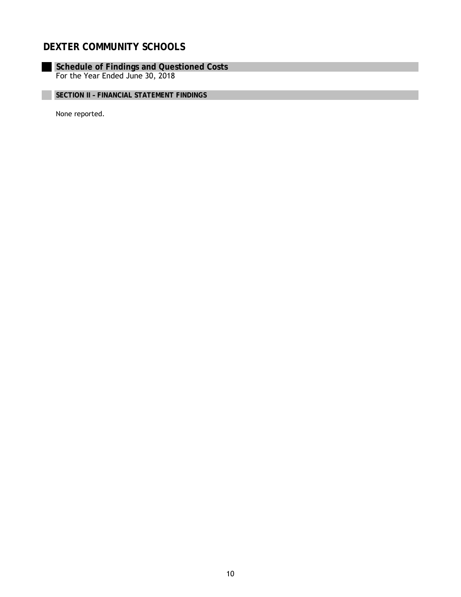**Schedule of Findings and Questioned Costs** For the Year Ended June 30, 2018

### **SECTION II – FINANCIAL STATEMENT FINDINGS**

None reported.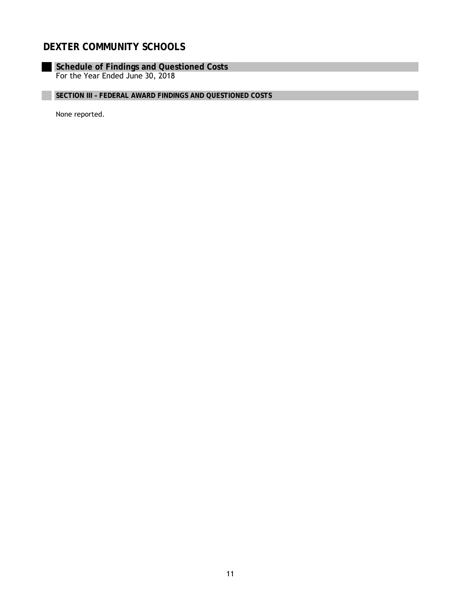#### **Schedule of Findings and Questioned Costs** For the Year Ended June 30, 2018

### **SECTION III – FEDERAL AWARD FINDINGS AND QUESTIONED COSTS**

None reported.